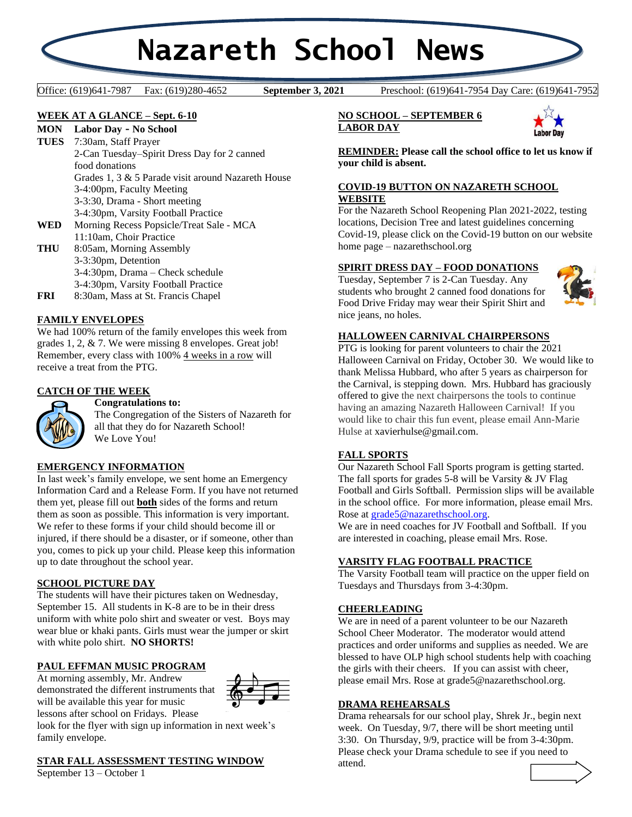# **Nazareth School News**

**September 3, 2021** 

Office: (619)641-7987 Fax: (619)280-4652 **September 3, 2021** Preschool: (619)641-7954 Day Care: (619)641-7952

# **WEEK AT A GLANCE – Sept. 6-10**

- **MON Labor Day - No School TUES** 7:30am, Staff Prayer 2-Can Tuesday–Spirit Dress Day for 2 canned food donations Grades 1, 3 & 5 Parade visit around Nazareth House 3-4:00pm, Faculty Meeting 3-3:30, Drama - Short meeting 3-4:30pm, Varsity Football Practice **WED** Morning Recess Popsicle/Treat Sale - MCA
- 11:10am, Choir Practice **THU** 8:05am, Morning Assembly
- 3-3:30pm, Detention 3-4:30pm, Drama – Check schedule 3-4:30pm, Varsity Football Practice
- **FRI** 8:30am, Mass at St. Francis Chapel

# **FAMILY ENVELOPES**

We had 100% return of the family envelopes this week from grades 1, 2, & 7. We were missing 8 envelopes. Great job! Remember, every class with 100% 4 weeks in a row will receive a treat from the PTG.

# **CATCH OF THE WEEK**



**Congratulations to:**

The Congregation of the Sisters of Nazareth for all that they do for Nazareth School! We Love You!

# **EMERGENCY INFORMATION**

In last week's family envelope, we sent home an Emergency Information Card and a Release Form. If you have not returned them yet, please fill out **both** sides of the forms and return them as soon as possible. This information is very important. We refer to these forms if your child should become ill or injured, if there should be a disaster, or if someone, other than you, comes to pick up your child. Please keep this information up to date throughout the school year.

# **SCHOOL PICTURE DAY**

The students will have their pictures taken on Wednesday, September 15. All students in K-8 are to be in their dress uniform with white polo shirt and sweater or vest. Boys may wear blue or khaki pants. Girls must wear the jumper or skirt with white polo shirt. **NO SHORTS!** 

# **PAUL EFFMAN MUSIC PROGRAM**

At morning assembly, Mr. Andrew demonstrated the different instruments that will be available this year for music lessons after school on Fridays. Please



look for the flyer with sign up information in next week's family envelope.

# **STAR FALL ASSESSMENT TESTING WINDOW**

September 13 – October 1

**NO SCHOOL – SEPTEMBER 6 LABOR DAY**



**REMINDER: Please call the school office to let us know if your child is absent.**

# **COVID-19 BUTTON ON NAZARETH SCHOOL WEBSITE**

For the Nazareth School Reopening Plan 2021-2022, testing locations, Decision Tree and latest guidelines concerning Covid-19, please click on the Covid-19 button on our website home page – nazarethschool.org

# **SPIRIT DRESS DAY – FOOD DONATIONS**

Tuesday, September 7 is 2-Can Tuesday. Any students who brought 2 canned food donations for Food Drive Friday may wear their Spirit Shirt and nice jeans, no holes.



# **HALLOWEEN CARNIVAL CHAIRPERSONS**

PTG is looking for parent volunteers to chair the 2021 Halloween Carnival on Friday, October 30. We would like to thank Melissa Hubbard, who after 5 years as chairperson for the Carnival, is stepping down. Mrs. Hubbard has graciously offered to give the next chairpersons the tools to continue having an amazing Nazareth Halloween Carnival! If you would like to chair this fun event, please email Ann-Marie Hulse at xavierhulse@gmail.com.

## **FALL SPORTS**

Our Nazareth School Fall Sports program is getting started. The fall sports for grades  $5-8$  will be Varsity  $&$  JV Flag Football and Girls Softball. Permission slips will be available in the school office. For more information, please email Mrs. Rose at [grade5@nazarethschool.org.](mailto:grade5@nazarethschool.org)

We are in need coaches for JV Football and Softball. If you are interested in coaching, please email Mrs. Rose.

# **VARSITY FLAG FOOTBALL PRACTICE**

The Varsity Football team will practice on the upper field on Tuesdays and Thursdays from 3-4:30pm.

## **CHEERLEADING**

We are in need of a parent volunteer to be our Nazareth School Cheer Moderator. The moderator would attend practices and order uniforms and supplies as needed. We are blessed to have OLP high school students help with coaching the girls with their cheers. If you can assist with cheer, please email Mrs. Rose at grade5@nazarethschool.org.

# **DRAMA REHEARSALS**

Drama rehearsals for our school play, Shrek Jr., begin next week. On Tuesday, 9/7, there will be short meeting until 3:30. On Thursday, 9/9, practice will be from 3-4:30pm. Please check your Drama schedule to see if you need to attend.